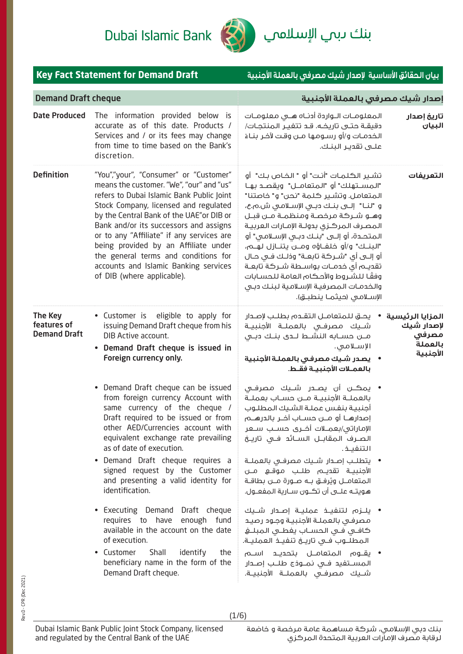

|                                               | <b>Key Fact Statement for Demand Draft</b>                                                                                                                                                                                                                                                                                                                                                                                                                          | بيان الحقائق الأساسية لإصدار شيك مصرفى بالعملة الأجنبية                                                                                                                                                                                                                                                                                                                                                                                                                                                                                                                                        |                                                                |
|-----------------------------------------------|---------------------------------------------------------------------------------------------------------------------------------------------------------------------------------------------------------------------------------------------------------------------------------------------------------------------------------------------------------------------------------------------------------------------------------------------------------------------|------------------------------------------------------------------------------------------------------------------------------------------------------------------------------------------------------------------------------------------------------------------------------------------------------------------------------------------------------------------------------------------------------------------------------------------------------------------------------------------------------------------------------------------------------------------------------------------------|----------------------------------------------------------------|
| <b>Demand Draft cheque</b>                    |                                                                                                                                                                                                                                                                                                                                                                                                                                                                     | إصدار شيك مصرفى بالعملة الأجنبية                                                                                                                                                                                                                                                                                                                                                                                                                                                                                                                                                               |                                                                |
| <b>Date Produced</b>                          | The information provided below is<br>accurate as of this date. Products /<br>Services and / or its fees may change<br>from time to time based on the Bank's<br>discretion.                                                                                                                                                                                                                                                                                          | المعلومات اللوازدة أدناه هلى معلومات<br>دقيقـة حتـى تاريخـه. قـد تتفيـر المنتجـات/<br>الخدمـات و/أو رسـومـها مــن وقـت لآخـر بنـاءً<br>علــــى تقديــر البنــك.                                                                                                                                                                                                                                                                                                                                                                                                                                | تاريخ إصدار<br>البيان                                          |
| <b>Definition</b>                             | "You","your", "Consumer" or "Customer"<br>means the customer. "We", "our" and "us"<br>refers to Dubai Islamic Bank Public Joint<br>Stock Company, licensed and regulated<br>by the Central Bank of the UAE" or DIB or<br>Bank and/or its successors and assigns<br>or to any "Affiliate" if any services are<br>being provided by an Affiliate under<br>the general terms and conditions for<br>accounts and Islamic Banking services<br>of DIB (where applicable). | تشـير الـكـلمـات "أنـت" أو " الـخـاص بـك"  أو<br>"المســتهلك" أو "المتعامــل"  ويقصــد بهــا<br>المتعامل. وتشير كلمة "نحن" و" خاصتنا"<br>و "لنــا" إلــــى بنــك دبـــى الإســلامــى ش.م.ع،<br>وهـو شـركة مرخصـة ومنظمـة مـن قبـل<br>المصرف المركزى بدولـة الإمـارات العربيـة<br>المتحدة، أو إلـى "بنـك دبـى الإسـلامـى" أو<br>"البنــك" و/أو خلفــاؤه ومـــن يتنــازل لهــم،<br>أو إلـــى أى "شـــركــة تابـعــة" وذلــك فــى حــال<br>تقديـم أى خدمــات بواســطة شــركة تابعـة<br>وفقًا للشروط والأحكام العامة للحسابات<br>والخدمات المصرفية الإسلامية لبنك دبى<br>الإسلامي (حيثمـا ينطبـق). | التعريفات                                                      |
| The Key<br>features of<br><b>Demand Draft</b> | eligible to apply for<br>Customer is<br>issuing Demand Draft cheque from his<br>DIB Active account.<br>Demand Draft cheque is issued in<br>Foreign currency only.<br>• Demand Draft cheque can be issued<br>from foreign currency Account with<br>same currency of the cheque /<br>Draft required to be issued or from<br>other AED/Currencies account with<br>equivalent exchange rate prevailing<br>as of date of execution.<br>Demand Draft cheque requires a    | يحق للمتعامـل التقـدم بطلـب لإصـدار<br>شــيك مصرفــى بالعملــة الأجنبيــة<br>مـــن حســـابه النشـــط لـــدى بنــك دبــى<br>الإسلامى.<br>•     يصدر شـيك مصرفـي بالعملـة الأجنبية<br>بالعمـلات الأجنبيـة فقـط.<br>• يمڪـن أن يصــدر شــيك مصرفـى<br>بالعملــة الأجنبيــة مــن حســاب بعملــة<br>أجنبية بنفس عملة الشيك المطلوب<br>الإماراتي/بعمــلات أخــري حســب ســعر<br>الصـرف المقابــل الســائد فــى تاريــخ<br>التنفيــذ .<br>•   يتطلـب إصـدار شــيك مصرفـى بالعملــة                                                                                                                    | المزايا الرئيسية<br>لإصدار شيك<br>مصرفى<br>بالعملة<br>الأجنبية |
|                                               | signed request by the Customer<br>and presenting a valid identity for<br>identification.<br>• Executing Demand Draft cheque<br>requires to have enough fund<br>available in the account on the date<br>of execution.<br>Customer<br>Shall<br>identify<br>the<br>$\bullet$<br>beneficiary name in the form of the<br>Demand Draft cheque.                                                                                                                            | الأجنبيــة تقديـــم طلـــب مـوقـــع مـــن<br>المتعامــل ويُرفــق بــه صــورة مــن بطاقــة<br>هويتــه عـلـــى أن تـــُـــون ســـارية الـمفعــول.<br>• يلـــزم لتنفيـــذ عمليـــة إصـــدار شـــيك<br>مصرفى بالعملـة الأجنبيـة وجـود رصيـد<br>المطلـــوب فــي تاريــــخ تنفيـــذ العمليـــة.<br>• يقـــوم الـمتعامـــل بتحديـــد اســــم<br>المســتفيد فــى نمــوذج طلــب إصــدار<br>شــيك مصرفــى بالعملــة الأجنبيــة.                                                                                                                                                                          |                                                                |

(1/6)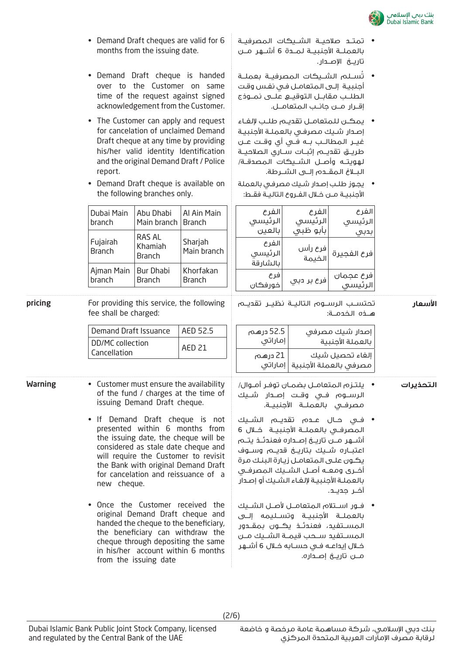

- تمتــد صلاحيــة الشــيكات المصرفيــة بالعملــة الأجنبيــة لمــدة 6 أشــهر مــن تاريــخ الإصــدار.
	- ُســلم الشــيكات المصرفيــة بعملــة ت أجنبيـة إلـى المتعامـل فـي نفـس وقـت الطلــب مقابــل التوقيــع علــى نمــوذج إقــرار مــن جانــب المتعامــل.
	- يمكــن للمتعامــل تقديــم طلــب لإلغــاء إصـدار شـيك مصرفـي بالعملـة الأجنبيـة غيــر المطالــب بــه فــي أي وقــت عــن طريــق تقديــم إثبــات ســاري الصلاحيــة لهويتــه وأصــل الشــيكات المصدقــة/ البــلاغ المقــدم إلــى الشــرطة.
	- يجـوز طلـب إصـدار شـيك مصرفـي بالعملة الأجنبيــة مــن خــلال الفــروع التاليــة فقــط:

الفرع الرئيسي بأبو ظبي

فرع رأس

الخيمة

فرع عجمان |<br>.. ، ،

الفرع الرئيسي بدبي

**اسعار**

فرع الفجيرة

الفرع الرئيسي بالعين

الفرع الرئيسي بالشارقة

فرع

21 درهم

| bernand brant cheques are valid for o |
|---------------------------------------|
| months from the issuing date.         |
|                                       |
|                                       |

• Demand Draft cheques are valid for 6

- Demand Draft cheque is handed over to the Customer on same time of the request against signed acknowledgement from the Customer.
- The Customer can apply and request for cancelation of unclaimed Demand Draft cheque at any time by providing his/her valid identity Identification and the original Demand Draft / Police report.
- Demand Draft cheque is available on the following branches only.

| Dubai Main<br>branch      | Abu Dhabi<br>Main branch   Branch  | Al Ain Main                |
|---------------------------|------------------------------------|----------------------------|
| Fujairah<br><b>Branch</b> | RAS AL<br>Khamiah<br><b>Branch</b> | Sharjah<br>Main branch     |
| Ajman Main<br>branch      | <b>Bur Dhabi</b><br><b>Branch</b>  | Khorfakan<br><b>Branch</b> |

pricing For providing this service, the following fee shall be charged:

| Demand Draft Issuance            | AED 52.5 |
|----------------------------------|----------|
| DD/MC collection<br>Cancellation | AFD 21   |

Warning • Customer must ensure the availability of the fund / charges at the time of issuing Demand Draft cheque.

- If Demand Draft cheque is not presented within 6 months from the issuing date, the cheque will be considered as stale date cheque and will require the Customer to revisit the Bank with original Demand Draft for cancelation and reissuance of a new cheque.
- Once the Customer received the original Demand Draft cheque and handed the cheque to the beneficiary, the beneficiary can withdraw the cheque through depositing the same in his/her account within 6 months from the issuing date

| خورفكان   | ترے بر دب |                                                                  |
|-----------|-----------|------------------------------------------------------------------|
|           |           | تحتســب الرســوم التاليــة نظيــر تقديــم<br>هـــذه الـخـدمـــة: |
| 52.5 درهم |           | إصدار شيك مصرفي<br>بالعملة الأجنبية                              |

|                                      | مصرفى بالعملة الأجنبية   إماراتى |  |           |
|--------------------------------------|----------------------------------|--|-----------|
| يلتزم المتعامـل بضمـان توفـر أمـوال/ | الرســـوم فـــى وقــت إصـــدار   |  | التحذيرات |
|                                      | مصرفـي بالعملــة الأحنيبــة.     |  |           |

إلغاء تحصيل شيك

- فــي حــال عــدم تقديــم الشــيك المصرفــي بالعملــة الأجنبيــة خــلال 6 أشــهر مــن تاريــخ إصــداره فعندئــذ يتــم اعتبــاره شــيك بتاريــخ قديــم وســوف يكـون علـى المتعامـل زيـارة البنـك مرة أخــرى ومعــه أصــل الشــيك المصرفــي بالعملـة الأجنبيـة لإلغـاء الشـيك أو إصـدار آخــر جديــد.
- فــور اســتلام المتعامــل لأصــل الشــيك بالعملــة الأجنبيــة وتســليمه إلــى المســتفيد، فعندئــذ يكــون بمقــدور المســتفيد ســحب قيمــة الشــيك مــن خــلال إيداعــه فــي حســابه خــلال 6 أشــهر مــن تاريــخ إصــداره.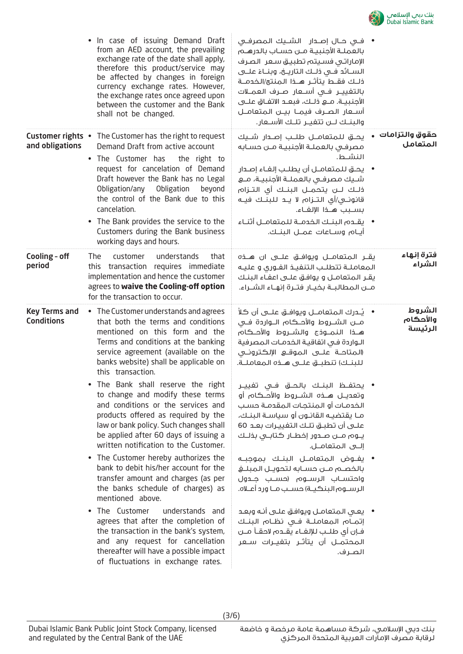

|                                           | • In case of issuing Demand Draft<br>from an AED account, the prevailing<br>exchange rate of the date shall apply,<br>therefore this product/service may<br>be affected by changes in foreign<br>currency exchange rates. However,<br>the exchange rates once agreed upon<br>between the customer and the Bank<br>shall not be changed.                                                                                       | •  فــى حــال إصــدار   الشــيك الـمصرفــى<br>بالعملـة الأجنبيـة مــن حسـاب بالدرهــم<br>الإماراتي فسيتم تطبيق سعر الصرف<br>الســائد فــى ذلــك الـتاريــــــن، وبنـــاءُ علــــى<br>ذلـك فقــط يتأثــر هــذا الـمنتج/الخدمــة<br>بالتغييــر فــى أســعار صــرف العمـــلات<br>أســـعار الـصـــرف فيمـــا بيــــن الـمتعامـــل<br>والبنـك لـن تتغيـر تلـك الأسـعار.                         |                               |
|-------------------------------------------|-------------------------------------------------------------------------------------------------------------------------------------------------------------------------------------------------------------------------------------------------------------------------------------------------------------------------------------------------------------------------------------------------------------------------------|--------------------------------------------------------------------------------------------------------------------------------------------------------------------------------------------------------------------------------------------------------------------------------------------------------------------------------------------------------------------------------------------|-------------------------------|
| and obligations                           | <b>Customer rights •</b> The Customer has the right to request<br>Demand Draft from active account<br>• The Customer has<br>the right to<br>request for cancelation of Demand<br>Draft however the Bank has no Legal<br>Obligation/any Obligation<br>beyond<br>the control of the Bank due to this<br>cancelation.<br>• The Bank provides the service to the<br>Customers during the Bank business<br>working days and hours. | يحــــق للـمتعامـــل طلـــب إصــــدار شـــيك<br>مصرفى بالعملـة الأجنبيـة مـن حسـابه<br>النشط.<br>•     يحـــق للـمتعامــل أن يطلــب إلغـاء إصــدار<br>شـيك مصرفـى بالعملــة الأجنبيــة، مــع<br>ذلـك لـــن يتحمـــل البنــك أي التــزام<br>قانونــى/أى التــزاه لا يــد للـبنــك فيــه<br>بسبب هـذا الإلغـاء.<br>•     يقـده البنـك الخدمــة للمتعامــل أثنـاء<br>أيام وساعات عملل البنـك. | حقوق والتزامات  •<br>المتعامل |
| Cooling - off<br>period                   | <b>The</b><br>understands<br>customer<br>that<br>this transaction requires immediate<br>implementation and hence the customer<br>agrees to waive the Cooling-off option<br>for the transaction to occur.                                                                                                                                                                                                                      | يقــر الـمتعامـــل ويوافـــق علــــى ان هــــذه<br>المعاملـة تتطلـب التنفيـذ الفـورى و عليـه<br>يقـر المتعامـل و يوافـق علــى اعفـاء البنـك<br>مــن المطالبــة بخيــار فتــرة إنهــاء الشــراء.                                                                                                                                                                                            | فترة إنهاء<br>الشراء          |
| <b>Key Terms and</b><br><b>Conditions</b> | • The Customer understands and agrees<br>that both the terms and conditions<br>mentioned on this form and the<br>Terms and conditions at the banking<br>service agreement (available on the<br>banks website) shall be applicable on<br>this transaction.                                                                                                                                                                     | •    يُــدرك الـمـتعامـــل ويوافــق علـــى أن كـلاً<br>مـــن الشــــروط والأحـــكـام الــــواردة فـــى<br>هـــذا النمـــوذج والشـــروط والأحـــكـام<br>الـواردة فـى اتفاقيـة الـخدمـات الـمصرفية<br>المتاحــة علـــى الـمـوقـــع الإلـكـترونــى<br>للبنك) تنطبق علـى هـذه المعاملـة.                                                                                                       | الشروط<br>والأحكام<br>الرئيسة |
|                                           | The Bank shall reserve the right<br>to change and modify these terms<br>and conditions or the services and<br>products offered as required by the<br>law or bank policy. Such changes shall<br>be applied after 60 days of issuing a<br>written notification to the Customer.                                                                                                                                                 | • يحتفــظ البنــك بالـحــق فــى تغييــر<br>الخدمـات أو المنتجـات المقدمـة حسـب<br>مـا يقتضيـه القانـون أو سياسـة البنـك،<br>علـــى أن تطبـــق تلــك الـتفييــرات بعــد 60<br>يــوم مـــن صــدور إخطــار كـتابــى بذلــك                                                                                                                                                                    |                               |
|                                           | • The Customer hereby authorizes the<br>bank to debit his/her account for the<br>transfer amount and charges (as per<br>the banks schedule of charges) as<br>mentioned above.                                                                                                                                                                                                                                                 | • يفــوض المتعامــل البنــك بموجبــه<br>بالخصم مـن حسـابه لتحويـل المبلـغ<br>واحتسـاب الرسـوم (حسـب جـدول<br>الرســوم البنكيــة) حســب مــا ورد أعــلاه.                                                                                                                                                                                                                                   |                               |
|                                           | The Customer<br>understands and<br>$\bullet$<br>agrees that after the completion of<br>the transaction in the bank's system,<br>and any request for cancellation<br>thereafter will have a possible impact<br>of fluctuations in exchange rates.                                                                                                                                                                              | •     يعـى المتعامـل ويوافـق علـى أنـه وبعـد<br>إتمــام المعاملــة فــى نظــام البنــك<br>فإن أى طلــب للإلغــاء يقــدم لاحقــأ مــن<br>المحتمــل أن يتأثــر بتغيــرات ســعر<br>الصرف.                                                                                                                                                                                                     |                               |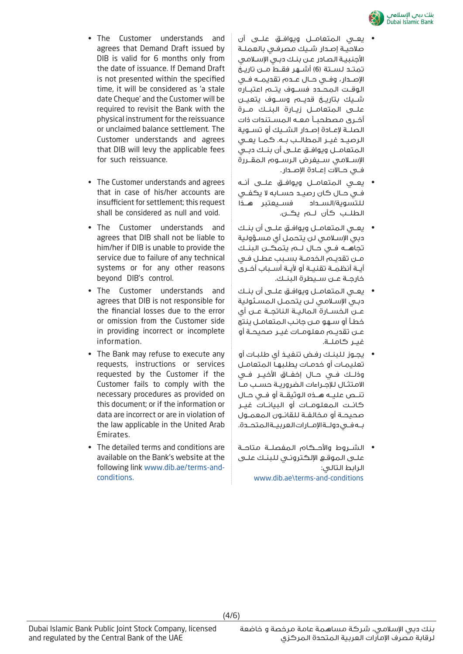

- The Customer understands and agrees that Demand Draft issued by DIB is valid for 6 months only from the date of issuance. If Demand Draft is not presented within the specified time, it will be considered as 'a stale date Cheque' and the Customer will be required to revisit the Bank with the physical instrument for the reissuance or unclaimed balance settlement. The Customer understands and agrees that DIB will levy the applicable fees for such reissuance.
- The Customer understands and agrees that in case of his/her accounts are insufficient for settlement; this request shall be considered as null and void.
- The Customer understands and agrees that DIB shall not be liable to him/her if DIB is unable to provide the service due to failure of any technical systems or for any other reasons beyond DIB's control.
- The Customer understands and agrees that DIB is not responsible for the financial losses due to the error or omission from the Customer side in providing incorrect or incomplete information.
- The Bank may refuse to execute any requests, instructions or services requested by the Customer if the Customer fails to comply with the necessary procedures as provided on this document; or if the information or data are incorrect or are in violation of the law applicable in the United Arab Emirates.
- The detailed terms and conditions are available on the Bank's website at the following link www.dib.ae/terms-andconditions.
- يعــي المتعامــل ويوافــق علــى أن صلاحيـة إصـدار شـيك مصرفـي بالعملـة الأجنبيـة الصـادر عـن بنـك دبـي الإسـلامي تمتــد لســتة (6) أشــهر فقــط مــن تاريــخ الإصــدار، وفــي حــال عــدم تقديمــه فــي الوقــت المحــدد فســوف يتــم اعتبــاره شــيك بتاريــخ قديــم وســوف يتعيــن علــى المتعامــل زيــارة البنــك مــرة أخــرى مصطحبــاً معــه المســتندات ذات الصلــة لإعــادة إصــدار الشــيك أو تســوية الرصيــد غيــر المطالــب بــه. كمــا يعــي المتعامــل ويوافــق علــى أن بنــك دبــي الإســلامي ســيفرض الرســوم المقــررة فــي حــالات إعــادة الإصــدار.
- يعــي المتعامــل ويوافــق علــى أنــه فــي حــال كان رصيــد حســابه لا يكفــي للتسوية/الســداد فســيعتبر هــذا الطلــب كأن لــم يكــن.
- يعــي المتعامــل ويوافــق علــى أن بنــك دبي الإسـلامي لن يتحمل أي مسـؤولية تجاهــه فــي حــال لــم يتمكــن البنــك مــن تقديــم الخدمــة بســبب عطــل فــي أيــة أنظمــة تقنيــة أو لأيــة أســباب أخــرى خارجــة عــن ســيطرة البنــك.
- يعــي المتعامــل ويوافــق علــى أن بنــك دبـي الإسـلامي لـن يتحمـل المسـئولية عــن الخســارة الماليــة الناتجــة عــن أي خطـأ أو سـهو مـن جانـب المتعامـل ينتج عــن تقديــم معلومــات غيــر صحيحــة أو غب كاملــة.
- يجـوز للبنـك رفـض تنفيـذ أي طلبـات أو تعليمـات أو خدمـات يطلبهـا المتعامـل وذلــك فــي حــال إخفــاق الأخيــر فــي الامتثـال للإجـراءات الضروريـة حسـب مـا تنــص عليــه هــذه الوثيقــة أو فــي حــال كانــت المعلومــات أو البيانــات غيــر صحيحــة أو مخالفــة للقانــون المعمــول بــه فــي دولــة الإمــارات العربيــة المتحــدة.
- الشــروط والأحــكام المفصلــة متاحــة علـى الموقـع الإلكترونـي للبنـك علـى الرابط التالي: www.dib.ae\terms-and-conditions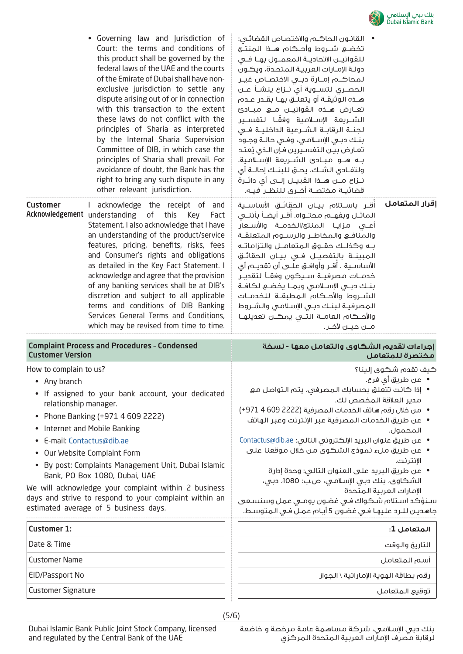

| Customer<br>Acknowledgement understanding                                    | • Governing law and Jurisdiction of<br>Court: the terms and conditions of<br>this product shall be governed by the<br>federal laws of the UAE and the courts<br>of the Emirate of Dubai shall have non-<br>exclusive jurisdiction to settle any<br>dispute arising out of or in connection<br>with this transaction to the extent<br>these laws do not conflict with the<br>principles of Sharia as interpreted<br>by the Internal Sharia Supervision<br>Committee of DIB, in which case the<br>principles of Sharia shall prevail. For<br>avoidance of doubt, the Bank has the<br>right to bring any such dispute in any<br>other relevant jurisdiction.<br>I acknowledge the receipt of and<br>of<br>this<br>Key<br>Fact<br>Statement. I also acknowledge that I have<br>an understanding of the product/service<br>features, pricing, benefits, risks, fees<br>and Consumer's rights and obligations | •    القانـون الـحاكــم والاختصـاص القضائـي:<br>تخضــــع شــــروط وأحـــكـام هــــذا الـمـنـتـــع<br>للقوانيـن الاتحاديــة الـمعمــول بهــا فــى<br>دولـة الإمـارات العربيـة المتحـدة، ويكـون<br>لمحاكـــم إمـــارة دبـــى الاختصــاص غيــر<br>الحصــري لـتســـوية أي نـــزاع ينشـــأ عـــن<br>هــذه الـوثيقــة أو يتعلــق بهــا بقــدر عــده،<br>تعـارض هـذه القوانيــن مــع مبــادئ<br>الشـــريعة الإســـلامـية وفقَــا لـتفســير<br>لجنــة الرقابــة الشــرعية الـداخليــة فــى<br>بنك دبى الإسلامي، وفي حالـة وجـود<br>تعارض بين التفسيرين فإن الذى يُعتد<br>بـه هــو مبــادئ الشــريعة الإســلامية.<br>ولتفـادي الشـك، يحـق للبنـك إحالــة أي<br>قضائيــة مـختصــة أخــرى للنظــر فيــه.<br>أقــر باســتلام بيــان الـحقائــق الأساســية<br>الماثــل وبفهـــم مـحتـــواه. أقــر أيضــأ بأننـــى<br>أعــى مـزايــا الـمـنـتج/الـخـدمـــة والأســـعار<br>والمنافع والمخاطر والرسلوم المتعلقة<br>بـه وكذلـك حقــوق المتعامــل والتزاماتـه<br>المبينــة بالتفصيــل فــى بيــان الحقائــق | اقرار المتعامل                                                                                   |
|------------------------------------------------------------------------------|---------------------------------------------------------------------------------------------------------------------------------------------------------------------------------------------------------------------------------------------------------------------------------------------------------------------------------------------------------------------------------------------------------------------------------------------------------------------------------------------------------------------------------------------------------------------------------------------------------------------------------------------------------------------------------------------------------------------------------------------------------------------------------------------------------------------------------------------------------------------------------------------------------|-------------------------------------------------------------------------------------------------------------------------------------------------------------------------------------------------------------------------------------------------------------------------------------------------------------------------------------------------------------------------------------------------------------------------------------------------------------------------------------------------------------------------------------------------------------------------------------------------------------------------------------------------------------------------------------------------------------------------------------------------------------------------------------------------------------------------------------------------------------------------------------------------------------------------------------------------------------------------------------------|--------------------------------------------------------------------------------------------------|
|                                                                              | as detailed in the Key Fact Statement. I<br>acknowledge and agree that the provision<br>of any banking services shall be at DIB's<br>discretion and subject to all applicable<br>terms and conditions of DIB Banking<br>Services General Terms and Conditions,<br>which may be revised from time to time.                                                                                                                                                                                                                                                                                                                                                                                                                                                                                                                                                                                               | الأساســـية . أقـــر وأوافـــق عـلـــى أن تقديـــم أي<br>خدمــات مصرفيــة ســيكـون وفقــأ لـتقديــر<br>بنك دبى الإسلامى وبما يخضع لكافة<br>الشــروط والأحــكام المطبقــة للخدمــات<br>المصرفية لبنك دبى الإسلامى والشروط<br>والأحـكام العامــة التــى يمكــن تعديلهـا<br>مــن حيــن لآخــر.                                                                                                                                                                                                                                                                                                                                                                                                                                                                                                                                                                                                                                                                                               |                                                                                                  |
|                                                                              |                                                                                                                                                                                                                                                                                                                                                                                                                                                                                                                                                                                                                                                                                                                                                                                                                                                                                                         |                                                                                                                                                                                                                                                                                                                                                                                                                                                                                                                                                                                                                                                                                                                                                                                                                                                                                                                                                                                           |                                                                                                  |
| <b>Customer Version</b>                                                      | <b>Complaint Process and Procedures - Condensed</b>                                                                                                                                                                                                                                                                                                                                                                                                                                                                                                                                                                                                                                                                                                                                                                                                                                                     | إجراءات تقديم الشكاوى والتعامل معها - نسخة                                                                                                                                                                                                                                                                                                                                                                                                                                                                                                                                                                                                                                                                                                                                                                                                                                                                                                                                                | مختصرة للمتعامل                                                                                  |
| How to complain to us?<br>• Any branch<br>relationship manager.<br>$\bullet$ | If assigned to your bank account, your dedicated<br>Phone Banking (+971 4 609 2222)<br>Internet and Mobile Banking<br>E-mail: Contactus@dib.ae<br>Our Website Complaint Form<br>By post: Complaints Management Unit, Dubai Islamic<br>Bank, PO Box 1080, Dubai, UAE<br>We will acknowledge your complaint within 2 business<br>days and strive to respond to your complaint within an<br>estimated average of 5 business days.                                                                                                                                                                                                                                                                                                                                                                                                                                                                          | • إذا كانت تتعلق بحسابك المصرفي، يتم التواصل مع<br>مدير العلاقة المخصص لك.<br>• من خلال رقم هاتف الخدمات المصرفية (2222 609 4 971+)<br>•   عن طريق الخدمات المصرفية عبر الإنترنت وعبر الهاتف<br>• عن طريق عنوان البريد الإلكتروني التالي: Contactus@dib.ae<br>• عن طريق ملء نموذج الشكوى من خلال موقعنا على<br>• عن طريق البريد على العنوان التالى: وحدة إدارة<br>الشكاوي، بنك دبي الإسلامي، ص.ب: 1080، دبي،<br>سـنـؤكد اسـتلام شـكواك فـى غضـون يومـي عمل وسنسـعى<br>جاهديـن لـلـرد عليهـا فـى غضـون 5 أيـام عمـل فـى المتوسـط.                                                                                                                                                                                                                                                                                                                                                                                                                                                          | كيف تقدم شكوى إلينا؟<br>•   عن طريق أي فرع.<br>المحمول.<br>الإنترنت.<br>الإمارات العربية المتحدة |
| <b>Customer 1:</b>                                                           |                                                                                                                                                                                                                                                                                                                                                                                                                                                                                                                                                                                                                                                                                                                                                                                                                                                                                                         |                                                                                                                                                                                                                                                                                                                                                                                                                                                                                                                                                                                                                                                                                                                                                                                                                                                                                                                                                                                           | المتعامل 1:                                                                                      |
| Date & Time                                                                  |                                                                                                                                                                                                                                                                                                                                                                                                                                                                                                                                                                                                                                                                                                                                                                                                                                                                                                         |                                                                                                                                                                                                                                                                                                                                                                                                                                                                                                                                                                                                                                                                                                                                                                                                                                                                                                                                                                                           | التاريخ والوقت                                                                                   |
| <b>Customer Name</b>                                                         |                                                                                                                                                                                                                                                                                                                                                                                                                                                                                                                                                                                                                                                                                                                                                                                                                                                                                                         |                                                                                                                                                                                                                                                                                                                                                                                                                                                                                                                                                                                                                                                                                                                                                                                                                                                                                                                                                                                           | أسم المتعامل                                                                                     |
| EID/Passport No<br><b>Customer Signature</b>                                 |                                                                                                                                                                                                                                                                                                                                                                                                                                                                                                                                                                                                                                                                                                                                                                                                                                                                                                         | رقم بطاقة الهوية الإماراتية \ الجواز                                                                                                                                                                                                                                                                                                                                                                                                                                                                                                                                                                                                                                                                                                                                                                                                                                                                                                                                                      |                                                                                                  |

 $\ddot{\phantom{a}}$ 

 $\overline{a}$